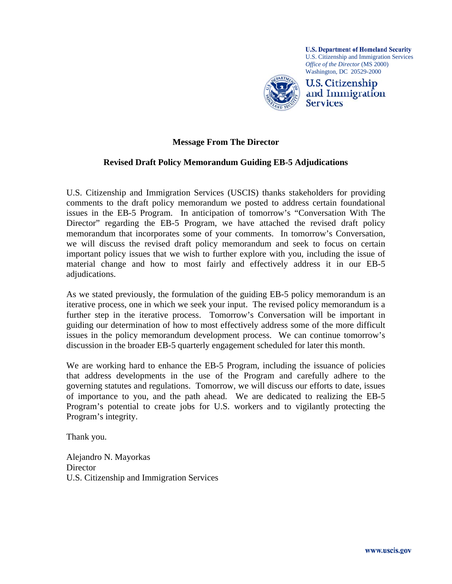

## **Message From The Director**

#### **Revised Draft Policy Memorandum Guiding EB-5 Adjudications**

U.S. Citizenship and Immigration Services (USCIS) thanks stakeholders for providing comments to the draft policy memorandum we posted to address certain foundational issues in the EB-5 Program. In anticipation of tomorrow's "Conversation With The Director" regarding the EB-5 Program, we have attached the revised draft policy memorandum that incorporates some of your comments. In tomorrow's Conversation, we will discuss the revised draft policy memorandum and seek to focus on certain important policy issues that we wish to further explore with you, including the issue of material change and how to most fairly and effectively address it in our EB-5 adjudications.

As we stated previously, the formulation of the guiding EB-5 policy memorandum is an iterative process, one in which we seek your input. The revised policy memorandum is a further step in the iterative process. Tomorrow's Conversation will be important in guiding our determination of how to most effectively address some of the more difficult issues in the policy memorandum development process. We can continue tomorrow's discussion in the broader EB-5 quarterly engagement scheduled for later this month.

We are working hard to enhance the EB-5 Program, including the issuance of policies that address developments in the use of the Program and carefully adhere to the governing statutes and regulations. Tomorrow, we will discuss our efforts to date, issues of importance to you, and the path ahead. We are dedicated to realizing the EB-5 Program's potential to create jobs for U.S. workers and to vigilantly protecting the Program's integrity.

Thank you.

Alejandro N. Mayorkas **Director** U.S. Citizenship and Immigration Services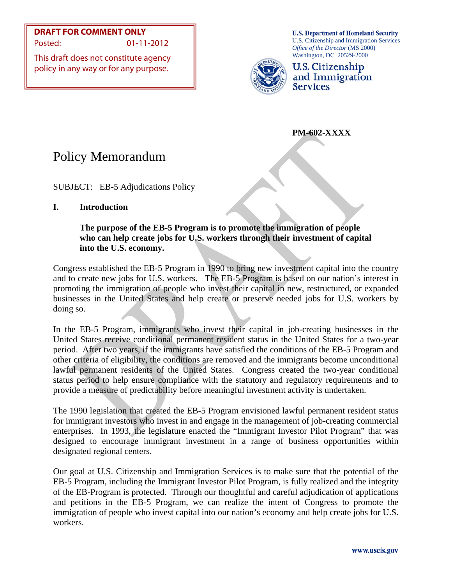**DRAFT FOR COMMENT ONLY** Posted: 01-11-2012

This draft does not constitute agency policy in any way or for any purpose.

**U.S. Department of Homeland Security** U.S. Citizenship and Immigration Services *Office of the Director* (MS 2000) Washington, DC 20529-2000



U.S. Citizenship and Immigration **Services** 

 **PM-602-XXXX** 

# Policy Memorandum

SUBJECT: EB-5 Adjudications Policy

# **I. Introduction**

## **The purpose of the EB-5 Program is to promote the immigration of people who can help create jobs for U.S. workers through their investment of capital into the U.S. economy.**

Congress established the EB-5 Program in 1990 to bring new investment capital into the country and to create new jobs for U.S. workers. The EB-5 Program is based on our nation's interest in promoting the immigration of people who invest their capital in new, restructured, or expanded businesses in the United States and help create or preserve needed jobs for U.S. workers by doing so.

In the EB-5 Program, immigrants who invest their capital in job-creating businesses in the United States receive conditional permanent resident status in the United States for a two-year period. After two years, if the immigrants have satisfied the conditions of the EB-5 Program and other criteria of eligibility, the conditions are removed and the immigrants become unconditional lawful permanent residents of the United States. Congress created the two-year conditional status period to help ensure compliance with the statutory and regulatory requirements and to provide a measure of predictability before meaningful investment activity is undertaken.

The 1990 legislation that created the EB-5 Program envisioned lawful permanent resident status for immigrant investors who invest in and engage in the management of job-creating commercial enterprises. In 1993, the legislature enacted the "Immigrant Investor Pilot Program" that was designed to encourage immigrant investment in a range of business opportunities within designated regional centers.

Our goal at U.S. Citizenship and Immigration Services is to make sure that the potential of the EB-5 Program, including the Immigrant Investor Pilot Program, is fully realized and the integrity of the EB-Program is protected. Through our thoughtful and careful adjudication of applications and petitions in the EB-5 Program, we can realize the intent of Congress to promote the immigration of people who invest capital into our nation's economy and help create jobs for U.S. workers.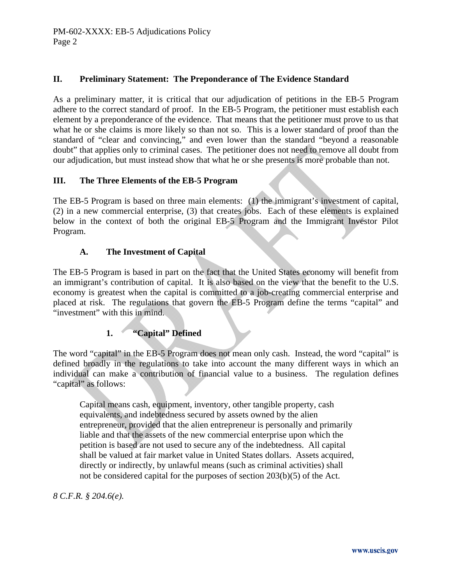## **II. Preliminary Statement: The Preponderance of The Evidence Standard**

As a preliminary matter, it is critical that our adjudication of petitions in the EB-5 Program adhere to the correct standard of proof. In the EB-5 Program, the petitioner must establish each element by a preponderance of the evidence. That means that the petitioner must prove to us that what he or she claims is more likely so than not so. This is a lower standard of proof than the standard of "clear and convincing," and even lower than the standard "beyond a reasonable doubt" that applies only to criminal cases. The petitioner does not need to remove all doubt from our adjudication, but must instead show that what he or she presents is more probable than not.

## **III. The Three Elements of the EB-5 Program**

The EB-5 Program is based on three main elements: (1) the immigrant's investment of capital, (2) in a new commercial enterprise, (3) that creates jobs. Each of these elements is explained below in the context of both the original EB-5 Program and the Immigrant Investor Pilot Program.

## **A. The Investment of Capital**

The EB-5 Program is based in part on the fact that the United States economy will benefit from an immigrant's contribution of capital. It is also based on the view that the benefit to the U.S. economy is greatest when the capital is committed to a job-creating commercial enterprise and placed at risk. The regulations that govern the EB-5 Program define the terms "capital" and "investment" with this in mind.

# **1. "Capital" Defined**

The word "capital" in the EB-5 Program does not mean only cash. Instead, the word "capital" is defined broadly in the regulations to take into account the many different ways in which an individual can make a contribution of financial value to a business. The regulation defines "capital" as follows:

 Capital means cash, equipment, inventory, other tangible property, cash equivalents, and indebtedness secured by assets owned by the alien entrepreneur, provided that the alien entrepreneur is personally and primarily liable and that the assets of the new commercial enterprise upon which the petition is based are not used to secure any of the indebtedness. All capital shall be valued at fair market value in United States dollars. Assets acquired, directly or indirectly, by unlawful means (such as criminal activities) shall not be considered capital for the purposes of section 203(b)(5) of the Act.

*8 C.F.R. § 204.6(e).*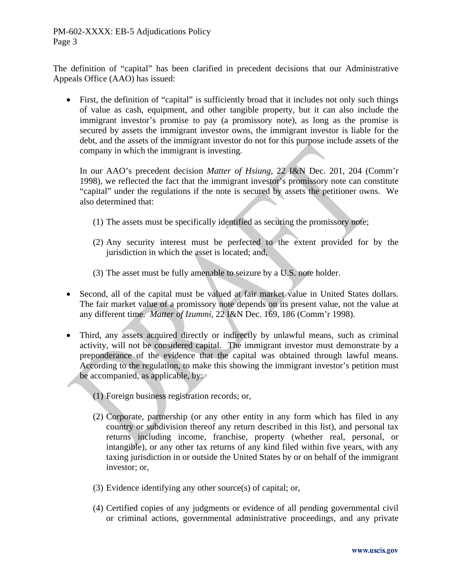The definition of "capital" has been clarified in precedent decisions that our Administrative Appeals Office (AAO) has issued:

 First, the definition of "capital" is sufficiently broad that it includes not only such things of value as cash, equipment, and other tangible property, but it can also include the immigrant investor's promise to pay (a promissory note), as long as the promise is secured by assets the immigrant investor owns, the immigrant investor is liable for the debt, and the assets of the immigrant investor do not for this purpose include assets of the company in which the immigrant is investing.

In our AAO's precedent decision *Matter of Hsiung*, 22 I&N Dec. 201, 204 (Comm'r 1998), we reflected the fact that the immigrant investor's promissory note can constitute "capital" under the regulations if the note is secured by assets the petitioner owns. We also determined that:

- (1) The assets must be specifically identified as securing the promissory note;
- (2) Any security interest must be perfected to the extent provided for by the jurisdiction in which the asset is located; and,
- (3) The asset must be fully amenable to seizure by a U.S. note holder.
- Second, all of the capital must be valued at fair market value in United States dollars. The fair market value of a promissory note depends on its present value, not the value at any different time. *Matter of Izummi,* 22 I&N Dec. 169, 186 (Comm'r 1998).
- Third, any assets acquired directly or indirectly by unlawful means, such as criminal activity, will not be considered capital. The immigrant investor must demonstrate by a preponderance of the evidence that the capital was obtained through lawful means. According to the regulation, to make this showing the immigrant investor's petition must be accompanied, as applicable, by:
	- (1) Foreign business registration records; or,
	- (2) Corporate, partnership (or any other entity in any form which has filed in any country or subdivision thereof any return described in this list), and personal tax returns including income, franchise, property (whether real, personal, or intangible), or any other tax returns of any kind filed within five years, with any taxing jurisdiction in or outside the United States by or on behalf of the immigrant investor; or,
	- (3) Evidence identifying any other source(s) of capital; or,
	- (4) Certified copies of any judgments or evidence of all pending governmental civil or criminal actions, governmental administrative proceedings, and any private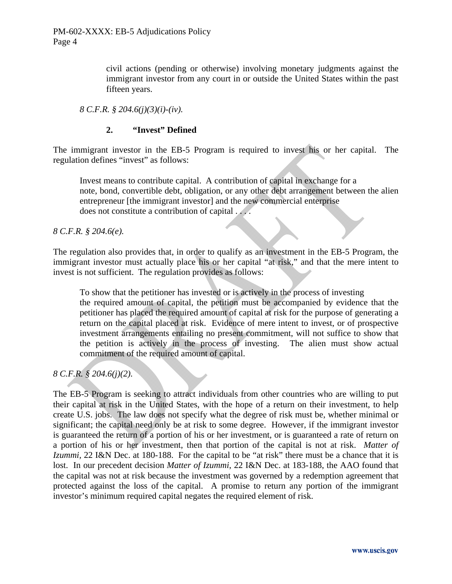civil actions (pending or otherwise) involving monetary judgments against the immigrant investor from any court in or outside the United States within the past fifteen years.

*8 C.F.R. § 204.6(j)(3)(i)-(iv).*

## **2. "Invest" Defined**

The immigrant investor in the EB-5 Program is required to invest his or her capital. The regulation defines "invest" as follows:

 Invest means to contribute capital. A contribution of capital in exchange for a note, bond, convertible debt, obligation, or any other debt arrangement between the alien entrepreneur [the immigrant investor] and the new commercial enterprise does not constitute a contribution of capital . . . .

*8 C.F.R. § 204.6(e).*

The regulation also provides that, in order to qualify as an investment in the EB-5 Program, the immigrant investor must actually place his or her capital "at risk," and that the mere intent to invest is not sufficient. The regulation provides as follows:

 To show that the petitioner has invested or is actively in the process of investing the required amount of capital, the petition must be accompanied by evidence that the petitioner has placed the required amount of capital at risk for the purpose of generating a return on the capital placed at risk. Evidence of mere intent to invest, or of prospective investment arrangements entailing no present commitment, will not suffice to show that the petition is actively in the process of investing. The alien must show actual commitment of the required amount of capital.

## *8 C.F.R. § 204.6(j)(2).*

The EB-5 Program is seeking to attract individuals from other countries who are willing to put their capital at risk in the United States, with the hope of a return on their investment, to help create U.S. jobs. The law does not specify what the degree of risk must be, whether minimal or significant; the capital need only be at risk to some degree. However, if the immigrant investor is guaranteed the return of a portion of his or her investment, or is guaranteed a rate of return on a portion of his or her investment, then that portion of the capital is not at risk. *Matter of Izummi,* 22 I&N Dec. at 180-188. For the capital to be "at risk" there must be a chance that it is lost. In our precedent decision *Matter of Izummi*, 22 I&N Dec. at 183-188, the AAO found that the capital was not at risk because the investment was governed by a redemption agreement that protected against the loss of the capital. A promise to return any portion of the immigrant investor's minimum required capital negates the required element of risk.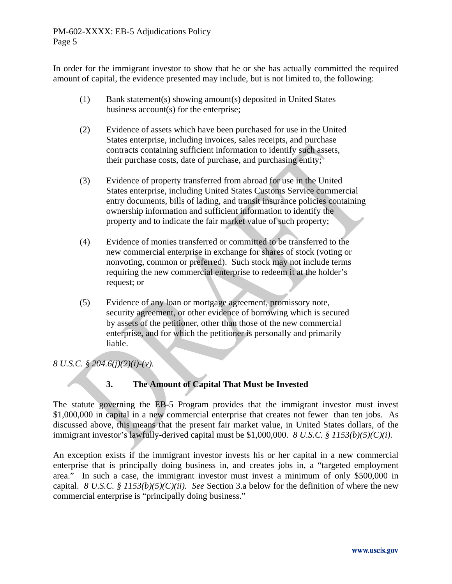In order for the immigrant investor to show that he or she has actually committed the required amount of capital, the evidence presented may include, but is not limited to, the following:

- (1) Bank statement(s) showing amount(s) deposited in United States business account(s) for the enterprise;
- (2) Evidence of assets which have been purchased for use in the United States enterprise, including invoices, sales receipts, and purchase contracts containing sufficient information to identify such assets, their purchase costs, date of purchase, and purchasing entity;
- (3) Evidence of property transferred from abroad for use in the United States enterprise, including United States Customs Service commercial entry documents, bills of lading, and transit insurance policies containing ownership information and sufficient information to identify the property and to indicate the fair market value of such property;
- (4) Evidence of monies transferred or committed to be transferred to the new commercial enterprise in exchange for shares of stock (voting or nonvoting, common or preferred). Such stock may not include terms requiring the new commercial enterprise to redeem it at the holder's request; or
- (5) Evidence of any loan or mortgage agreement, promissory note, security agreement, or other evidence of borrowing which is secured by assets of the petitioner, other than those of the new commercial enterprise, and for which the petitioner is personally and primarily liable.

# *8 U.S.C. § 204.6(j)(2)(i)-(v).*

# **3. The Amount of Capital That Must be Invested**

The statute governing the EB-5 Program provides that the immigrant investor must invest \$1,000,000 in capital in a new commercial enterprise that creates not fewer than ten jobs. As discussed above, this means that the present fair market value, in United States dollars, of the immigrant investor's lawfully-derived capital must be \$1,000,000. *8 U.S.C. § 1153(b)(5)(C)(i).*

An exception exists if the immigrant investor invests his or her capital in a new commercial enterprise that is principally doing business in, and creates jobs in, a "targeted employment area." In such a case, the immigrant investor must invest a minimum of only \$500,000 in capital. *8 U.S.C. § 1153(b)(5)(C)(ii). See* Section 3.a below for the definition of where the new commercial enterprise is "principally doing business."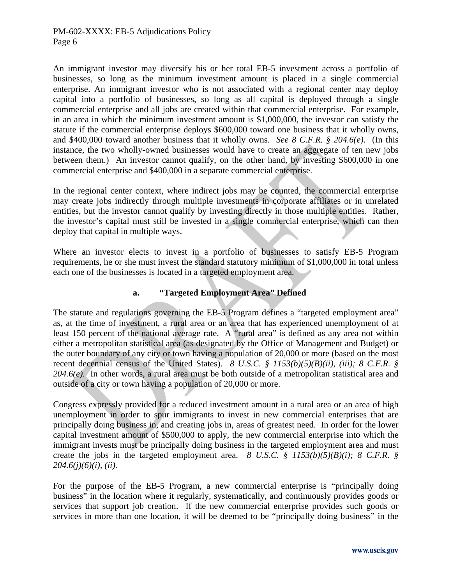An immigrant investor may diversify his or her total EB-5 investment across a portfolio of businesses, so long as the minimum investment amount is placed in a single commercial enterprise. An immigrant investor who is not associated with a regional center may deploy capital into a portfolio of businesses, so long as all capital is deployed through a single commercial enterprise and all jobs are created within that commercial enterprise. For example, in an area in which the minimum investment amount is \$1,000,000, the investor can satisfy the statute if the commercial enterprise deploys \$600,000 toward one business that it wholly owns, and \$400,000 toward another business that it wholly owns. *See 8 C.F.R. § 204.6(e)*. (In this instance, the two wholly-owned businesses would have to create an aggregate of ten new jobs between them.) An investor cannot qualify, on the other hand, by investing \$600,000 in one commercial enterprise and \$400,000 in a separate commercial enterprise.

In the regional center context, where indirect jobs may be counted, the commercial enterprise may create jobs indirectly through multiple investments in corporate affiliates or in unrelated entities, but the investor cannot qualify by investing directly in those multiple entities. Rather, the investor's capital must still be invested in a single commercial enterprise, which can then deploy that capital in multiple ways.

Where an investor elects to invest in a portfolio of businesses to satisfy EB-5 Program requirements, he or she must invest the standard statutory minimum of \$1,000,000 in total unless each one of the businesses is located in a targeted employment area.

## **a. "Targeted Employment Area" Defined**

The statute and regulations governing the EB-5 Program defines a "targeted employment area" as, at the time of investment, a rural area or an area that has experienced unemployment of at least 150 percent of the national average rate. A "rural area" is defined as any area not within either a metropolitan statistical area (as designated by the Office of Management and Budget) or the outer boundary of any city or town having a population of 20,000 or more (based on the most recent decennial census of the United States). *8 U.S.C. § 1153(b)(5)(B)(ii), (iii); 8 C.F.R. § 204.6(e).* In other words, a rural area must be both outside of a metropolitan statistical area and outside of a city or town having a population of 20,000 or more.

Congress expressly provided for a reduced investment amount in a rural area or an area of high unemployment in order to spur immigrants to invest in new commercial enterprises that are principally doing business in, and creating jobs in, areas of greatest need. In order for the lower capital investment amount of \$500,000 to apply, the new commercial enterprise into which the immigrant invests must be principally doing business in the targeted employment area and must create the jobs in the targeted employment area. *8 U.S.C. § 1153(b)(5)(B)(i); 8 C.F.R. § 204.6(j)(6)(i), (ii).*

For the purpose of the EB-5 Program, a new commercial enterprise is "principally doing business" in the location where it regularly, systematically, and continuously provides goods or services that support job creation. If the new commercial enterprise provides such goods or services in more than one location, it will be deemed to be "principally doing business" in the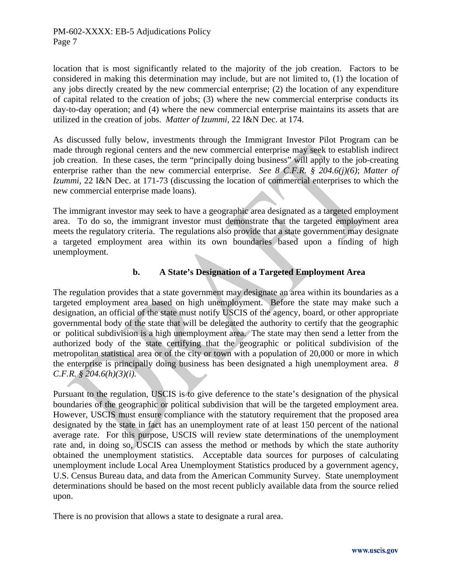location that is most significantly related to the majority of the job creation. Factors to be considered in making this determination may include, but are not limited to, (1) the location of any jobs directly created by the new commercial enterprise; (2) the location of any expenditure of capital related to the creation of jobs; (3) where the new commercial enterprise conducts its day-to-day operation; and (4) where the new commercial enterprise maintains its assets that are utilized in the creation of jobs. *Matter of Izummi,* 22 I&N Dec. at 174.

As discussed fully below, investments through the Immigrant Investor Pilot Program can be made through regional centers and the new commercial enterprise may seek to establish indirect job creation. In these cases, the term "principally doing business" will apply to the job-creating enterprise rather than the new commercial enterprise. *See 8 C.F.R. § 204.6(j)(6)*; *Matter of Izummi,* 22 I&N Dec. at 171-73 (discussing the location of commercial enterprises to which the new commercial enterprise made loans).

The immigrant investor may seek to have a geographic area designated as a targeted employment area. To do so, the immigrant investor must demonstrate that the targeted employment area meets the regulatory criteria. The regulations also provide that a state government may designate a targeted employment area within its own boundaries based upon a finding of high unemployment.

## **b. A State's Designation of a Targeted Employment Area**

The regulation provides that a state government may designate an area within its boundaries as a targeted employment area based on high unemployment. Before the state may make such a designation, an official of the state must notify USCIS of the agency, board, or other appropriate governmental body of the state that will be delegated the authority to certify that the geographic or political subdivision is a high unemployment area. The state may then send a letter from the authorized body of the state certifying that the geographic or political subdivision of the metropolitan statistical area or of the city or town with a population of 20,000 or more in which the enterprise is principally doing business has been designated a high unemployment area. *8 C.F.R. § 204.6(h)(3)(i).* 

Pursuant to the regulation, USCIS is to give deference to the state's designation of the physical boundaries of the geographic or political subdivision that will be the targeted employment area. However, USCIS must ensure compliance with the statutory requirement that the proposed area designated by the state in fact has an unemployment rate of at least 150 percent of the national average rate. For this purpose, USCIS will review state determinations of the unemployment rate and, in doing so, USCIS can assess the method or methods by which the state authority obtained the unemployment statistics. Acceptable data sources for purposes of calculating unemployment include Local Area Unemployment Statistics produced by a government agency, U.S. Census Bureau data, and data from the American Community Survey. State unemployment determinations should be based on the most recent publicly available data from the source relied upon.

There is no provision that allows a state to designate a rural area.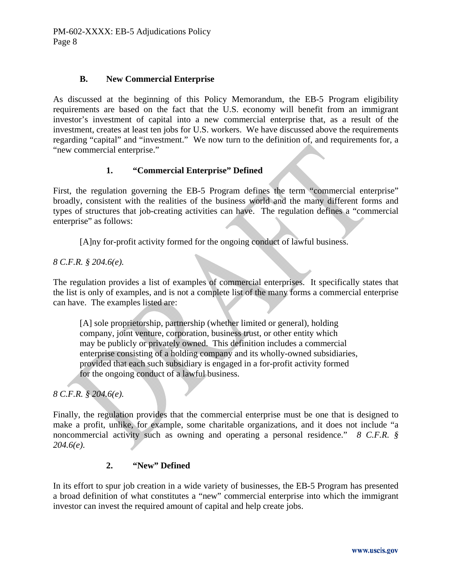## **B. New Commercial Enterprise**

As discussed at the beginning of this Policy Memorandum, the EB-5 Program eligibility requirements are based on the fact that the U.S. economy will benefit from an immigrant investor's investment of capital into a new commercial enterprise that, as a result of the investment, creates at least ten jobs for U.S. workers. We have discussed above the requirements regarding "capital" and "investment." We now turn to the definition of, and requirements for, a "new commercial enterprise."

## **1. "Commercial Enterprise" Defined**

First, the regulation governing the EB-5 Program defines the term "commercial enterprise" broadly, consistent with the realities of the business world and the many different forms and types of structures that job-creating activities can have. The regulation defines a "commercial enterprise" as follows:

[A]ny for-profit activity formed for the ongoing conduct of lawful business.

*8 C.F.R. § 204.6(e).*

The regulation provides a list of examples of commercial enterprises. It specifically states that the list is only of examples, and is not a complete list of the many forms a commercial enterprise can have. The examples listed are:

 [A] sole proprietorship, partnership (whether limited or general), holding company, joint venture, corporation, business trust, or other entity which may be publicly or privately owned. This definition includes a commercial enterprise consisting of a holding company and its wholly-owned subsidiaries, provided that each such subsidiary is engaged in a for-profit activity formed for the ongoing conduct of a lawful business.

*8 C.F.R. § 204.6(e).*

Finally, the regulation provides that the commercial enterprise must be one that is designed to make a profit, unlike, for example, some charitable organizations, and it does not include "a noncommercial activity such as owning and operating a personal residence." *8 C.F.R. § 204.6(e).*

#### **2. "New" Defined**

In its effort to spur job creation in a wide variety of businesses, the EB-5 Program has presented a broad definition of what constitutes a "new" commercial enterprise into which the immigrant investor can invest the required amount of capital and help create jobs.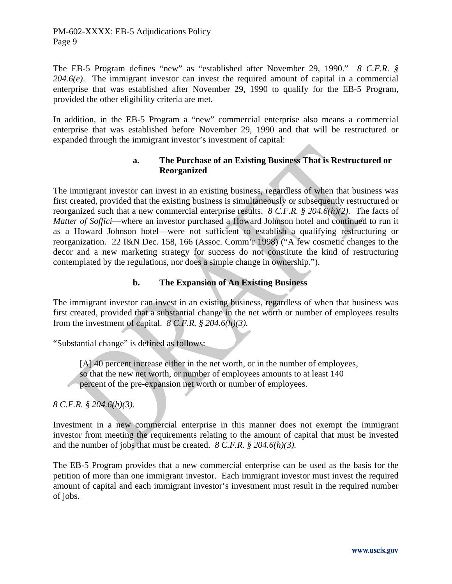The EB-5 Program defines "new" as "established after November 29, 1990." *8 C.F.R. § 204.6(e)*. The immigrant investor can invest the required amount of capital in a commercial enterprise that was established after November 29, 1990 to qualify for the EB-5 Program, provided the other eligibility criteria are met.

In addition, in the EB-5 Program a "new" commercial enterprise also means a commercial enterprise that was established before November 29, 1990 and that will be restructured or expanded through the immigrant investor's investment of capital:

## **a. The Purchase of an Existing Business That is Restructured or Reorganized**

The immigrant investor can invest in an existing business, regardless of when that business was first created, provided that the existing business is simultaneously or subsequently restructured or reorganized such that a new commercial enterprise results. *8 C.F.R. § 204.6(h)(2).* The facts of *Matter of Soffici*—where an investor purchased a Howard Johnson hotel and continued to run it as a Howard Johnson hotel—were not sufficient to establish a qualifying restructuring or reorganization. 22 I&N Dec. 158, 166 (Assoc. Comm'r 1998) ("A few cosmetic changes to the decor and a new marketing strategy for success do not constitute the kind of restructuring contemplated by the regulations, nor does a simple change in ownership.").

## **b. The Expansion of An Existing Business**

The immigrant investor can invest in an existing business, regardless of when that business was first created, provided that a substantial change in the net worth or number of employees results from the investment of capital. *8 C.F.R. § 204.6(h)(3).*

"Substantial change" is defined as follows:

 [A] 40 percent increase either in the net worth, or in the number of employees, so that the new net worth, or number of employees amounts to at least 140 percent of the pre-expansion net worth or number of employees.

*8 C.F.R. § 204.6(h)(3).*

Investment in a new commercial enterprise in this manner does not exempt the immigrant investor from meeting the requirements relating to the amount of capital that must be invested and the number of jobs that must be created. *8 C.F.R. § 204.6(h)(3).*

The EB-5 Program provides that a new commercial enterprise can be used as the basis for the petition of more than one immigrant investor. Each immigrant investor must invest the required amount of capital and each immigrant investor's investment must result in the required number of jobs.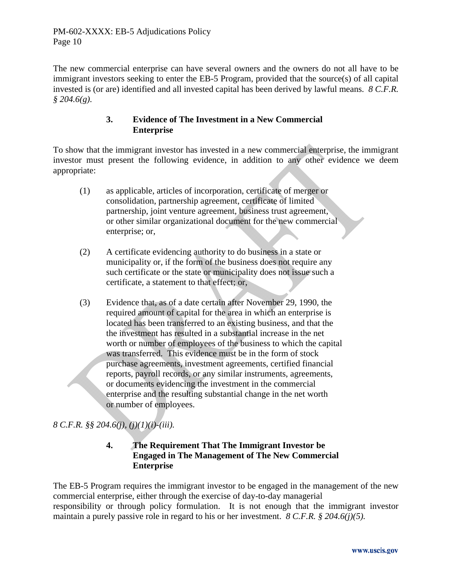The new commercial enterprise can have several owners and the owners do not all have to be immigrant investors seeking to enter the EB-5 Program, provided that the source(s) of all capital invested is (or are) identified and all invested capital has been derived by lawful means. *8 C.F.R. § 204.6(g).* 

## **3. Evidence of The Investment in a New Commercial Enterprise**

To show that the immigrant investor has invested in a new commercial enterprise, the immigrant investor must present the following evidence, in addition to any other evidence we deem appropriate:

- (1) as applicable, articles of incorporation, certificate of merger or consolidation, partnership agreement, certificate of limited partnership, joint venture agreement, business trust agreement, or other similar organizational document for the new commercial enterprise; or,
- (2) A certificate evidencing authority to do business in a state or municipality or, if the form of the business does not require any such certificate or the state or municipality does not issue such a certificate, a statement to that effect; or,
- (3) Evidence that, as of a date certain after November 29, 1990, the required amount of capital for the area in which an enterprise is located has been transferred to an existing business, and that the the investment has resulted in a substantial increase in the net worth or number of employees of the business to which the capital was transferred. This evidence must be in the form of stock purchase agreements, investment agreements, certified financial reports, payroll records, or any similar instruments, agreements, or documents evidencing the investment in the commercial enterprise and the resulting substantial change in the net worth or number of employees.

# *8 C.F.R. §§ 204.6(j), (j)(1)(i)-(iii).*

# **4. The Requirement That The Immigrant Investor be Engaged in The Management of The New Commercial Enterprise**

The EB-5 Program requires the immigrant investor to be engaged in the management of the new commercial enterprise, either through the exercise of day-to-day managerial responsibility or through policy formulation. It is not enough that the immigrant investor maintain a purely passive role in regard to his or her investment. *8 C.F.R. § 204.6(j)(5).*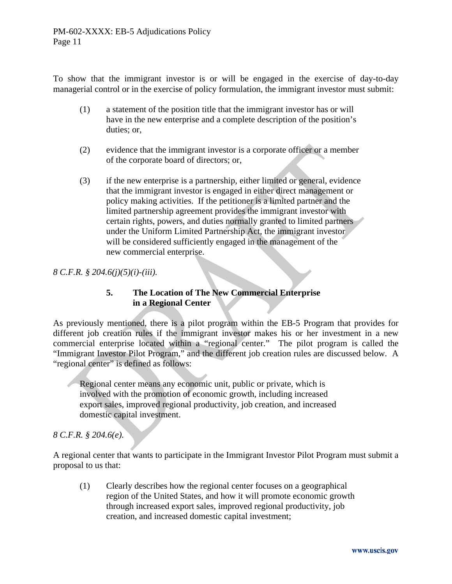To show that the immigrant investor is or will be engaged in the exercise of day-to-day managerial control or in the exercise of policy formulation, the immigrant investor must submit:

- (1) a statement of the position title that the immigrant investor has or will have in the new enterprise and a complete description of the position's duties; or,
- (2) evidence that the immigrant investor is a corporate officer or a member of the corporate board of directors; or,
- (3) if the new enterprise is a partnership, either limited or general, evidence that the immigrant investor is engaged in either direct management or policy making activities. If the petitioner is a limited partner and the limited partnership agreement provides the immigrant investor with certain rights, powers, and duties normally granted to limited partners under the Uniform Limited Partnership Act, the immigrant investor will be considered sufficiently engaged in the management of the new commercial enterprise.

## *8 C.F.R. § 204.6(j)(5)(i)-(iii).*

# **5. The Location of The New Commercial Enterprise in a Regional Center**

As previously mentioned, there is a pilot program within the EB-5 Program that provides for different job creation rules if the immigrant investor makes his or her investment in a new commercial enterprise located within a "regional center." The pilot program is called the "Immigrant Investor Pilot Program," and the different job creation rules are discussed below. A "regional center" is defined as follows:

 Regional center means any economic unit, public or private, which is involved with the promotion of economic growth, including increased export sales, improved regional productivity, job creation, and increased domestic capital investment.

## *8 C.F.R. § 204.6(e).*

A regional center that wants to participate in the Immigrant Investor Pilot Program must submit a proposal to us that:

 (1) Clearly describes how the regional center focuses on a geographical region of the United States, and how it will promote economic growth through increased export sales, improved regional productivity, job creation, and increased domestic capital investment;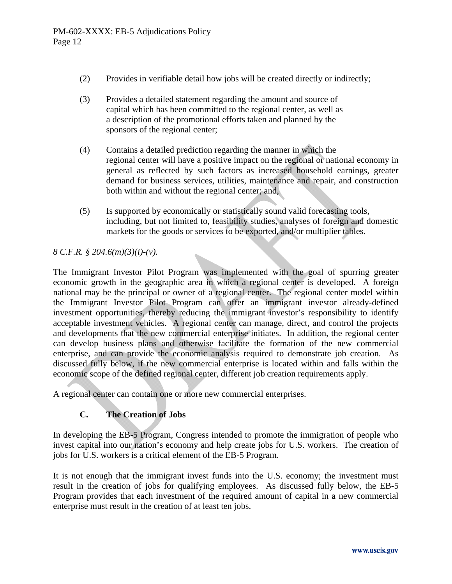- (2) Provides in verifiable detail how jobs will be created directly or indirectly;
- (3) Provides a detailed statement regarding the amount and source of capital which has been committed to the regional center, as well as a description of the promotional efforts taken and planned by the sponsors of the regional center;
- (4) Contains a detailed prediction regarding the manner in which the regional center will have a positive impact on the regional or national economy in general as reflected by such factors as increased household earnings, greater demand for business services, utilities, maintenance and repair, and construction both within and without the regional center; and,
- (5) Is supported by economically or statistically sound valid forecasting tools, including, but not limited to, feasibility studies, analyses of foreign and domestic markets for the goods or services to be exported, and/or multiplier tables.

## *8 C.F.R. § 204.6(m)(3)(i)-(v).*

The Immigrant Investor Pilot Program was implemented with the goal of spurring greater economic growth in the geographic area in which a regional center is developed. A foreign national may be the principal or owner of a regional center. The regional center model within the Immigrant Investor Pilot Program can offer an immigrant investor already-defined investment opportunities, thereby reducing the immigrant investor's responsibility to identify acceptable investment vehicles. A regional center can manage, direct, and control the projects and developments that the new commercial enterprise initiates. In addition, the regional center can develop business plans and otherwise facilitate the formation of the new commercial enterprise, and can provide the economic analysis required to demonstrate job creation. As discussed fully below, if the new commercial enterprise is located within and falls within the economic scope of the defined regional center, different job creation requirements apply.

A regional center can contain one or more new commercial enterprises.

## **C. The Creation of Jobs**

In developing the EB-5 Program, Congress intended to promote the immigration of people who invest capital into our nation's economy and help create jobs for U.S. workers. The creation of jobs for U.S. workers is a critical element of the EB-5 Program.

It is not enough that the immigrant invest funds into the U.S. economy; the investment must result in the creation of jobs for qualifying employees. As discussed fully below, the EB-5 Program provides that each investment of the required amount of capital in a new commercial enterprise must result in the creation of at least ten jobs.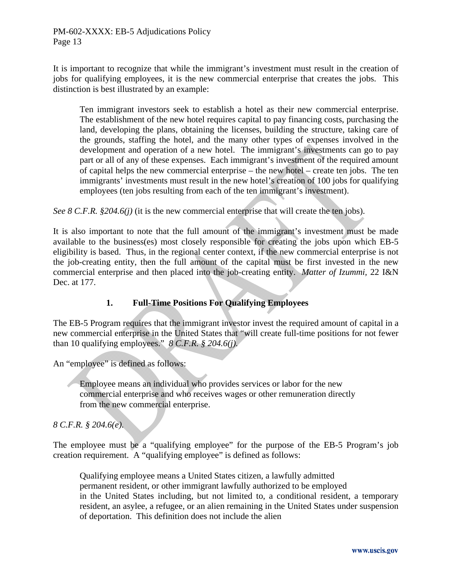It is important to recognize that while the immigrant's investment must result in the creation of jobs for qualifying employees, it is the new commercial enterprise that creates the jobs. This distinction is best illustrated by an example:

Ten immigrant investors seek to establish a hotel as their new commercial enterprise. The establishment of the new hotel requires capital to pay financing costs, purchasing the land, developing the plans, obtaining the licenses, building the structure, taking care of the grounds, staffing the hotel, and the many other types of expenses involved in the development and operation of a new hotel. The immigrant's investments can go to pay part or all of any of these expenses. Each immigrant's investment of the required amount of capital helps the new commercial enterprise – the new hotel – create ten jobs. The ten immigrants' investments must result in the new hotel's creation of 100 jobs for qualifying employees (ten jobs resulting from each of the ten immigrant's investment).

*See 8 C.F.R. §204.6(j)* (it is the new commercial enterprise that will create the ten jobs).

It is also important to note that the full amount of the immigrant's investment must be made available to the business(es) most closely responsible for creating the jobs upon which EB-5 eligibility is based. Thus, in the regional center context, if the new commercial enterprise is not the job-creating entity, then the full amount of the capital must be first invested in the new commercial enterprise and then placed into the job-creating entity. *Matter of Izummi,* 22 I&N Dec. at 177.

#### **1. Full-Time Positions For Qualifying Employees**

The EB-5 Program requires that the immigrant investor invest the required amount of capital in a new commercial enterprise in the United States that "will create full-time positions for not fewer than 10 qualifying employees." *8 C.F.R. § 204.6(j).*

An "employee" is defined as follows:

 Employee means an individual who provides services or labor for the new commercial enterprise and who receives wages or other remuneration directly from the new commercial enterprise.

*8 C.F.R. § 204.6(e).* 

The employee must be a "qualifying employee" for the purpose of the EB-5 Program's job creation requirement. A "qualifying employee" is defined as follows:

 Qualifying employee means a United States citizen, a lawfully admitted permanent resident, or other immigrant lawfully authorized to be employed in the United States including, but not limited to, a conditional resident, a temporary resident, an asylee, a refugee, or an alien remaining in the United States under suspension of deportation. This definition does not include the alien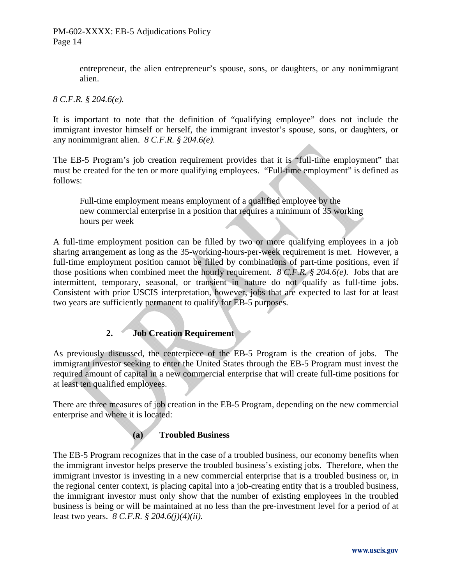entrepreneur, the alien entrepreneur's spouse, sons, or daughters, or any nonimmigrant alien.

## *8 C.F.R. § 204.6(e).*

It is important to note that the definition of "qualifying employee" does not include the immigrant investor himself or herself, the immigrant investor's spouse, sons, or daughters, or any nonimmigrant alien. *8 C.F.R. § 204.6(e).*

The EB-5 Program's job creation requirement provides that it is "full-time employment" that must be created for the ten or more qualifying employees. "Full-time employment" is defined as follows:

 Full-time employment means employment of a qualified employee by the new commercial enterprise in a position that requires a minimum of 35 working hours per week

A full-time employment position can be filled by two or more qualifying employees in a job sharing arrangement as long as the 35-working-hours-per-week requirement is met. However, a full-time employment position cannot be filled by combinations of part-time positions, even if those positions when combined meet the hourly requirement. *8 C.F.R. § 204.6(e).* Jobs that are intermittent, temporary, seasonal, or transient in nature do not qualify as full-time jobs. Consistent with prior USCIS interpretation, however, jobs that are expected to last for at least two years are sufficiently permanent to qualify for EB-5 purposes.

# **2. Job Creation Requirement**

As previously discussed, the centerpiece of the EB-5 Program is the creation of jobs. The immigrant investor seeking to enter the United States through the EB-5 Program must invest the required amount of capital in a new commercial enterprise that will create full-time positions for at least ten qualified employees.

There are three measures of job creation in the EB-5 Program, depending on the new commercial enterprise and where it is located:

# **(a) Troubled Business**

The EB-5 Program recognizes that in the case of a troubled business, our economy benefits when the immigrant investor helps preserve the troubled business's existing jobs. Therefore, when the immigrant investor is investing in a new commercial enterprise that is a troubled business or, in the regional center context, is placing capital into a job-creating entity that is a troubled business, the immigrant investor must only show that the number of existing employees in the troubled business is being or will be maintained at no less than the pre-investment level for a period of at least two years. *8 C.F.R. § 204.6(j)(4)(ii).*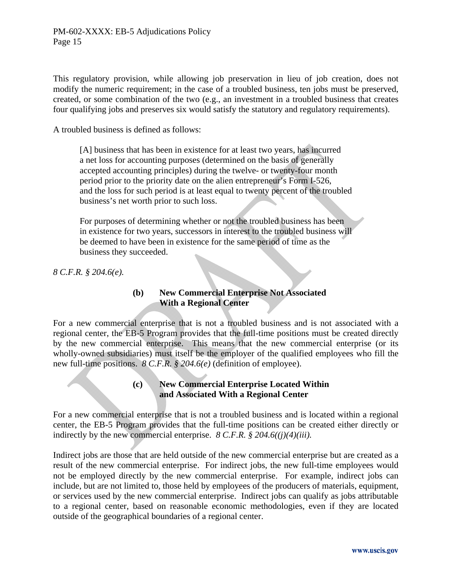This regulatory provision, while allowing job preservation in lieu of job creation, does not modify the numeric requirement; in the case of a troubled business, ten jobs must be preserved, created, or some combination of the two (e.g., an investment in a troubled business that creates four qualifying jobs and preserves six would satisfy the statutory and regulatory requirements).

A troubled business is defined as follows:

 [A] business that has been in existence for at least two years, has incurred a net loss for accounting purposes (determined on the basis of generally accepted accounting principles) during the twelve- or twenty-four month period prior to the priority date on the alien entrepreneur's Form I-526, and the loss for such period is at least equal to twenty percent of the troubled business's net worth prior to such loss.

 For purposes of determining whether or not the troubled business has been in existence for two years, successors in interest to the troubled business will be deemed to have been in existence for the same period of time as the business they succeeded.

*8 C.F.R. § 204.6(e).*

## **(b) New Commercial Enterprise Not Associated With a Regional Center**

For a new commercial enterprise that is not a troubled business and is not associated with a regional center, the EB-5 Program provides that the full-time positions must be created directly by the new commercial enterprise. This means that the new commercial enterprise (or its wholly-owned subsidiaries) must itself be the employer of the qualified employees who fill the new full-time positions. *8 C.F.R. § 204.6(e)* (definition of employee).

#### **(c) New Commercial Enterprise Located Within and Associated With a Regional Center**

For a new commercial enterprise that is not a troubled business and is located within a regional center, the EB-5 Program provides that the full-time positions can be created either directly or indirectly by the new commercial enterprise. *8 C.F.R. § 204.6((j)(4)(iii).*

Indirect jobs are those that are held outside of the new commercial enterprise but are created as a result of the new commercial enterprise. For indirect jobs, the new full-time employees would not be employed directly by the new commercial enterprise. For example, indirect jobs can include, but are not limited to, those held by employees of the producers of materials, equipment, or services used by the new commercial enterprise. Indirect jobs can qualify as jobs attributable to a regional center, based on reasonable economic methodologies, even if they are located outside of the geographical boundaries of a regional center.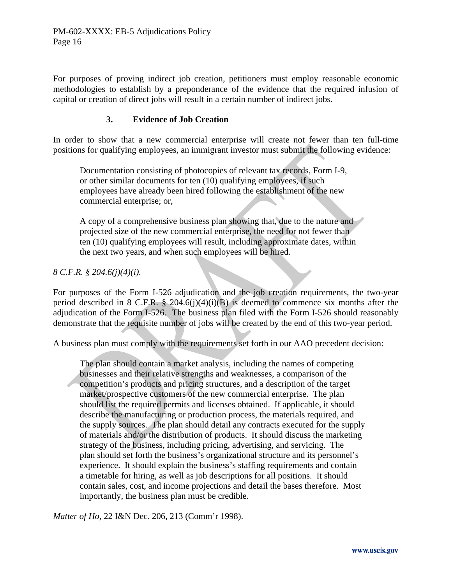For purposes of proving indirect job creation, petitioners must employ reasonable economic methodologies to establish by a preponderance of the evidence that the required infusion of capital or creation of direct jobs will result in a certain number of indirect jobs.

#### **3. Evidence of Job Creation**

In order to show that a new commercial enterprise will create not fewer than ten full-time positions for qualifying employees, an immigrant investor must submit the following evidence:

 Documentation consisting of photocopies of relevant tax records, Form I-9, or other similar documents for ten (10) qualifying employees, if such employees have already been hired following the establishment of the new commercial enterprise; or,

 A copy of a comprehensive business plan showing that, due to the nature and projected size of the new commercial enterprise, the need for not fewer than ten (10) qualifying employees will result, including approximate dates, within the next two years, and when such employees will be hired.

#### *8 C.F.R. § 204.6(j)(4)(i).*

For purposes of the Form I-526 adjudication and the job creation requirements, the two-year period described in 8 C.F.R. § 204.6(j)(4)(j)(B) is deemed to commence six months after the adjudication of the Form I-526. The business plan filed with the Form I-526 should reasonably demonstrate that the requisite number of jobs will be created by the end of this two-year period.

A business plan must comply with the requirements set forth in our AAO precedent decision:

 The plan should contain a market analysis, including the names of competing businesses and their relative strengths and weaknesses, a comparison of the competition's products and pricing structures, and a description of the target market/prospective customers of the new commercial enterprise. The plan should list the required permits and licenses obtained. If applicable, it should describe the manufacturing or production process, the materials required, and the supply sources. The plan should detail any contracts executed for the supply of materials and/or the distribution of products. It should discuss the marketing strategy of the business, including pricing, advertising, and servicing. The plan should set forth the business's organizational structure and its personnel's experience. It should explain the business's staffing requirements and contain a timetable for hiring, as well as job descriptions for all positions. It should contain sales, cost, and income projections and detail the bases therefore. Most importantly, the business plan must be credible.

*Matter of Ho,* 22 I&N Dec. 206, 213 (Comm'r 1998).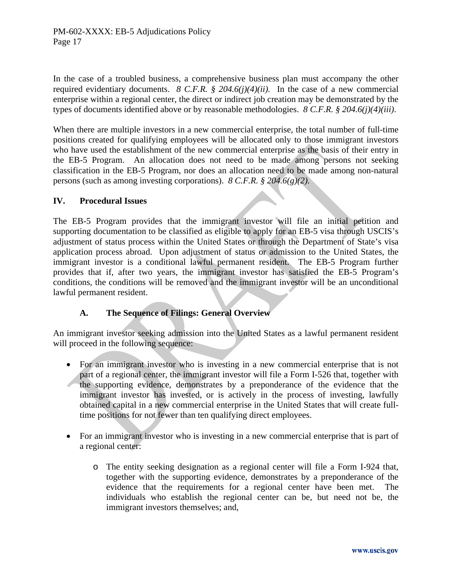In the case of a troubled business, a comprehensive business plan must accompany the other required evidentiary documents. *8 C.F.R. § 204.6(j)(4)(ii).* In the case of a new commercial enterprise within a regional center, the direct or indirect job creation may be demonstrated by the types of documents identified above or by reasonable methodologies. *8 C.F.R. § 204.6(j)(4)(iii)*.

When there are multiple investors in a new commercial enterprise, the total number of full-time positions created for qualifying employees will be allocated only to those immigrant investors who have used the establishment of the new commercial enterprise as the basis of their entry in the EB-5 Program. An allocation does not need to be made among persons not seeking classification in the EB-5 Program, nor does an allocation need to be made among non-natural persons (such as among investing corporations). *8 C.F.R. § 204.6(g)(2).*

## **IV. Procedural Issues**

The EB-5 Program provides that the immigrant investor will file an initial petition and supporting documentation to be classified as eligible to apply for an EB-5 visa through USCIS's adjustment of status process within the United States or through the Department of State's visa application process abroad. Upon adjustment of status or admission to the United States, the immigrant investor is a conditional lawful permanent resident. The EB-5 Program further provides that if, after two years, the immigrant investor has satisfied the EB-5 Program's conditions, the conditions will be removed and the immigrant investor will be an unconditional lawful permanent resident.

## **A. The Sequence of Filings: General Overview**

An immigrant investor seeking admission into the United States as a lawful permanent resident will proceed in the following sequence:

- For an immigrant investor who is investing in a new commercial enterprise that is not part of a regional center, the immigrant investor will file a Form I-526 that, together with the supporting evidence, demonstrates by a preponderance of the evidence that the immigrant investor has invested, or is actively in the process of investing, lawfully obtained capital in a new commercial enterprise in the United States that will create fulltime positions for not fewer than ten qualifying direct employees.
- For an immigrant investor who is investing in a new commercial enterprise that is part of a regional center:
	- o The entity seeking designation as a regional center will file a Form I-924 that, together with the supporting evidence, demonstrates by a preponderance of the evidence that the requirements for a regional center have been met. The individuals who establish the regional center can be, but need not be, the immigrant investors themselves; and,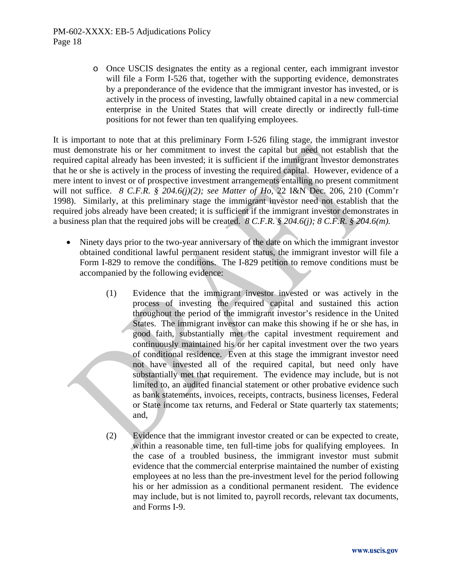o Once USCIS designates the entity as a regional center, each immigrant investor will file a Form I-526 that, together with the supporting evidence, demonstrates by a preponderance of the evidence that the immigrant investor has invested, or is actively in the process of investing, lawfully obtained capital in a new commercial enterprise in the United States that will create directly or indirectly full-time positions for not fewer than ten qualifying employees.

It is important to note that at this preliminary Form I-526 filing stage, the immigrant investor must demonstrate his or her commitment to invest the capital but need not establish that the required capital already has been invested; it is sufficient if the immigrant investor demonstrates that he or she is actively in the process of investing the required capital. However, evidence of a mere intent to invest or of prospective investment arrangements entailing no present commitment will not suffice. *8 C.F.R. § 204.6(j)(2); see Matter of Ho,* 22 I&N Dec. 206, 210 (Comm'r 1998). Similarly, at this preliminary stage the immigrant investor need not establish that the required jobs already have been created; it is sufficient if the immigrant investor demonstrates in a business plan that the required jobs will be created. *8 C.F.R. § 204.6(j); 8 C.F.R. § 204.6(m).*

- Ninety days prior to the two-year anniversary of the date on which the immigrant investor obtained conditional lawful permanent resident status, the immigrant investor will file a Form I-829 to remove the conditions. The I-829 petition to remove conditions must be accompanied by the following evidence:
	- (1) Evidence that the immigrant investor invested or was actively in the process of investing the required capital and sustained this action throughout the period of the immigrant investor's residence in the United States. The immigrant investor can make this showing if he or she has, in good faith, substantially met the capital investment requirement and continuously maintained his or her capital investment over the two years of conditional residence. Even at this stage the immigrant investor need not have invested all of the required capital, but need only have substantially met that requirement. The evidence may include, but is not limited to, an audited financial statement or other probative evidence such as bank statements, invoices, receipts, contracts, business licenses, Federal or State income tax returns, and Federal or State quarterly tax statements; and,
	- (2) Evidence that the immigrant investor created or can be expected to create, within a reasonable time, ten full-time jobs for qualifying employees. In the case of a troubled business, the immigrant investor must submit evidence that the commercial enterprise maintained the number of existing employees at no less than the pre-investment level for the period following his or her admission as a conditional permanent resident. The evidence may include, but is not limited to, payroll records, relevant tax documents, and Forms I-9.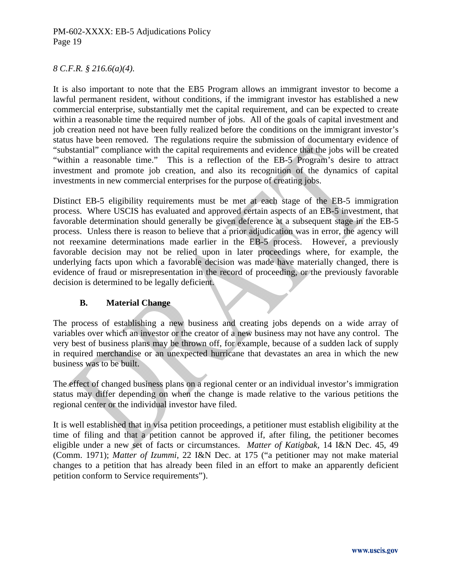## *8 C.F.R. § 216.6(a)(4).*

It is also important to note that the EB5 Program allows an immigrant investor to become a lawful permanent resident, without conditions, if the immigrant investor has established a new commercial enterprise, substantially met the capital requirement, and can be expected to create within a reasonable time the required number of jobs. All of the goals of capital investment and job creation need not have been fully realized before the conditions on the immigrant investor's status have been removed. The regulations require the submission of documentary evidence of "substantial" compliance with the capital requirements and evidence that the jobs will be created "within a reasonable time." This is a reflection of the EB-5 Program's desire to attract investment and promote job creation, and also its recognition of the dynamics of capital investments in new commercial enterprises for the purpose of creating jobs.

Distinct EB-5 eligibility requirements must be met at each stage of the EB-5 immigration process. Where USCIS has evaluated and approved certain aspects of an EB-5 investment, that favorable determination should generally be given deference at a subsequent stage in the EB-5 process. Unless there is reason to believe that a prior adjudication was in error, the agency will not reexamine determinations made earlier in the EB-5 process. However, a previously favorable decision may not be relied upon in later proceedings where, for example, the underlying facts upon which a favorable decision was made have materially changed, there is evidence of fraud or misrepresentation in the record of proceeding, or the previously favorable decision is determined to be legally deficient.

#### **B. Material Change**

The process of establishing a new business and creating jobs depends on a wide array of variables over which an investor or the creator of a new business may not have any control. The very best of business plans may be thrown off, for example, because of a sudden lack of supply in required merchandise or an unexpected hurricane that devastates an area in which the new business was to be built.

The effect of changed business plans on a regional center or an individual investor's immigration status may differ depending on when the change is made relative to the various petitions the regional center or the individual investor have filed.

It is well established that in visa petition proceedings, a petitioner must establish eligibility at the time of filing and that a petition cannot be approved if, after filing, the petitioner becomes eligible under a new set of facts or circumstances. *Matter of Katigbak,* 14 I&N Dec. 45, 49 (Comm. 1971); *Matter of Izummi,* 22 I&N Dec. at 175 ("a petitioner may not make material changes to a petition that has already been filed in an effort to make an apparently deficient petition conform to Service requirements").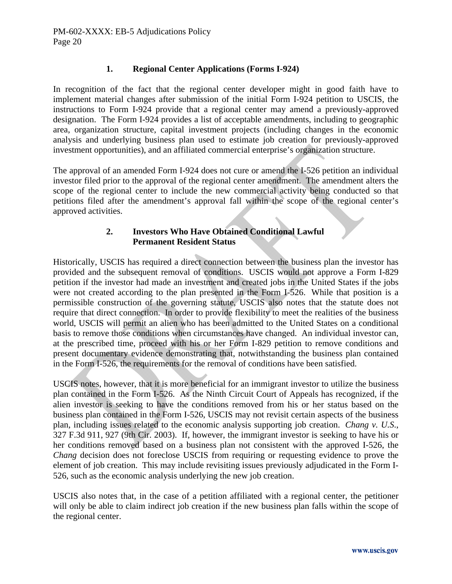## **1. Regional Center Applications (Forms I-924)**

In recognition of the fact that the regional center developer might in good faith have to implement material changes after submission of the initial Form I-924 petition to USCIS, the instructions to Form I-924 provide that a regional center may amend a previously-approved designation. The Form I-924 provides a list of acceptable amendments, including to geographic area, organization structure, capital investment projects (including changes in the economic analysis and underlying business plan used to estimate job creation for previously-approved investment opportunities), and an affiliated commercial enterprise's organization structure.

The approval of an amended Form I-924 does not cure or amend the I-526 petition an individual investor filed prior to the approval of the regional center amendment. The amendment alters the scope of the regional center to include the new commercial activity being conducted so that petitions filed after the amendment's approval fall within the scope of the regional center's approved activities.

## **2. Investors Who Have Obtained Conditional Lawful Permanent Resident Status**

Historically, USCIS has required a direct connection between the business plan the investor has provided and the subsequent removal of conditions. USCIS would not approve a Form I-829 petition if the investor had made an investment and created jobs in the United States if the jobs were not created according to the plan presented in the Form I-526. While that position is a permissible construction of the governing statute, USCIS also notes that the statute does not require that direct connection. In order to provide flexibility to meet the realities of the business world, USCIS will permit an alien who has been admitted to the United States on a conditional basis to remove those conditions when circumstances have changed. An individual investor can, at the prescribed time, proceed with his or her Form I-829 petition to remove conditions and present documentary evidence demonstrating that, notwithstanding the business plan contained in the Form I-526, the requirements for the removal of conditions have been satisfied.

USCIS notes, however, that it is more beneficial for an immigrant investor to utilize the business plan contained in the Form I-526. As the Ninth Circuit Court of Appeals has recognized, if the alien investor is seeking to have the conditions removed from his or her status based on the business plan contained in the Form I-526, USCIS may not revisit certain aspects of the business plan, including issues related to the economic analysis supporting job creation. *Chang v. U.S*., 327 F.3d 911, 927 (9th Cir. 2003). If, however, the immigrant investor is seeking to have his or her conditions removed based on a business plan not consistent with the approved I-526, the *Chang* decision does not foreclose USCIS from requiring or requesting evidence to prove the element of job creation. This may include revisiting issues previously adjudicated in the Form I-526, such as the economic analysis underlying the new job creation.

USCIS also notes that, in the case of a petition affiliated with a regional center, the petitioner will only be able to claim indirect job creation if the new business plan falls within the scope of the regional center.